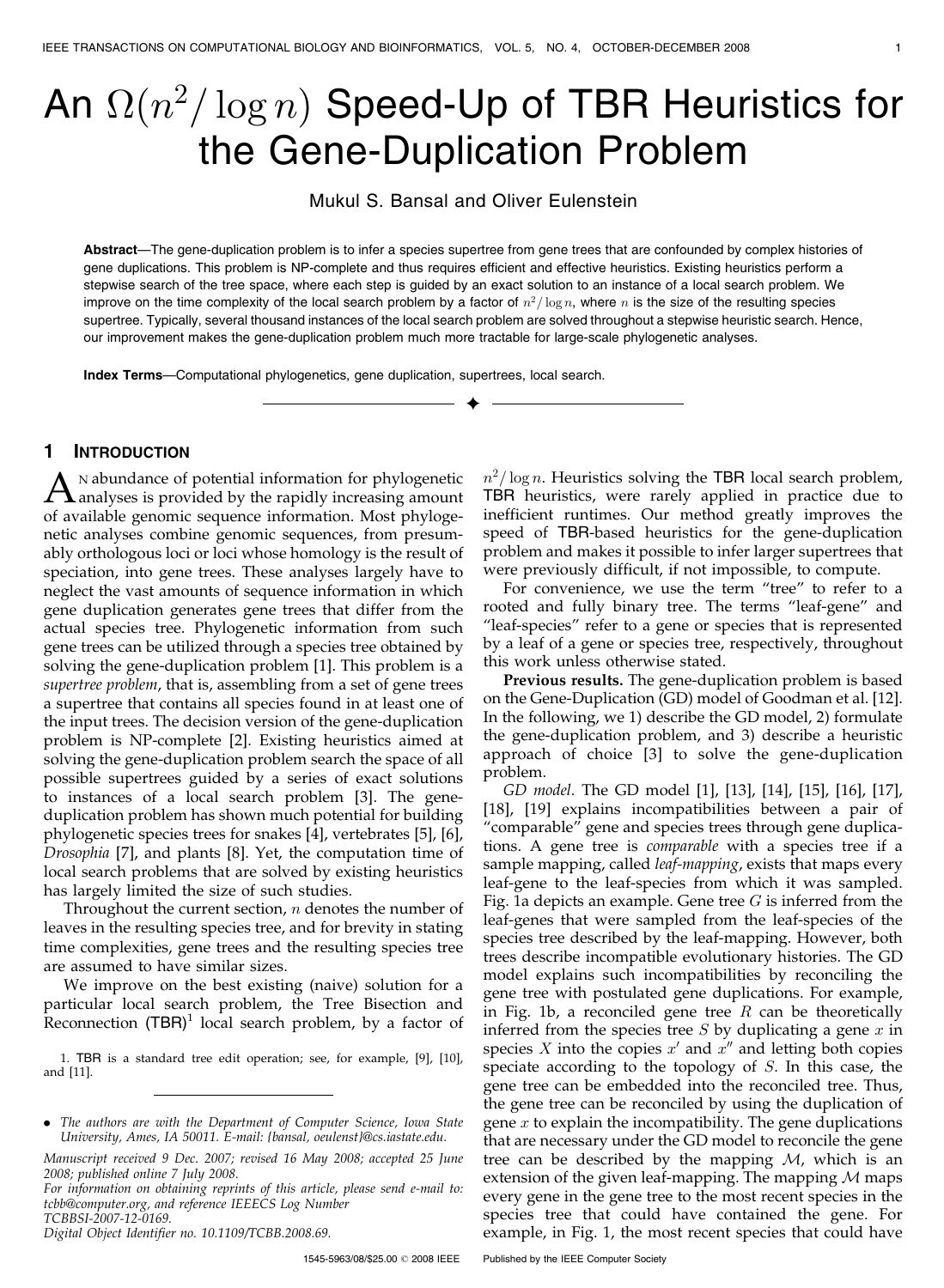# An  $\Omega(n^2/\log n)$  Speed-Up of TBR Heuristics for the Gene-Duplication Problem

Mukul S. Bansal and Oliver Eulenstein

Abstract—The gene-duplication problem is to infer a species supertree from gene trees that are confounded by complex histories of gene duplications. This problem is NP-complete and thus requires efficient and effective heuristics. Existing heuristics perform a stepwise search of the tree space, where each step is guided by an exact solution to an instance of a local search problem. We improve on the time complexity of the local search problem by a factor of  $n^2/\log n$ , where n is the size of the resulting species supertree. Typically, several thousand instances of the local search problem are solved throughout a stepwise heuristic search. Hence, our improvement makes the gene-duplication problem much more tractable for large-scale phylogenetic analyses.

 $\ddotmark$ 

Index Terms—Computational phylogenetics, gene duplication, supertrees, local search.

# 1 INTRODUCTION

 $\Lambda$ <sup>N</sup> abundance of potential information for phylogenetic analyses is provided by the rapidly increasing amount of available concenting converges information. Most phylogenetic of available genomic sequence information. Most phylogenetic analyses combine genomic sequences, from presumably orthologous loci or loci whose homology is the result of speciation, into gene trees. These analyses largely have to neglect the vast amounts of sequence information in which gene duplication generates gene trees that differ from the actual species tree. Phylogenetic information from such gene trees can be utilized through a species tree obtained by solving the gene-duplication problem [1]. This problem is a supertree problem, that is, assembling from a set of gene trees a supertree that contains all species found in at least one of the input trees. The decision version of the gene-duplication problem is NP-complete [2]. Existing heuristics aimed at solving the gene-duplication problem search the space of all possible supertrees guided by a series of exact solutions to instances of a local search problem [3]. The geneduplication problem has shown much potential for building phylogenetic species trees for snakes [4], vertebrates [5], [6], Drosophia [7], and plants [8]. Yet, the computation time of local search problems that are solved by existing heuristics has largely limited the size of such studies.

Throughout the current section,  $n$  denotes the number of leaves in the resulting species tree, and for brevity in stating time complexities, gene trees and the resulting species tree are assumed to have similar sizes.

We improve on the best existing (naive) solution for a particular local search problem, the Tree Bisection and Reconnection  $(TBR)^1$  local search problem, by a factor of

1. TBR is a standard tree edit operation; see, for example, [9], [10], and [11].

For information on obtaining reprints of this article, please send e-mail to: tcbb@computer.org, and reference IEEECS Log Number TCBBSI-2007-12-0169.

Digital Object Identifier no. 10.1109/TCBB.2008.69.

1545-5963/08/\$25.00 @ 2008 IEEE

 $n^2/\log n$ . Heuristics solving the TBR local search problem, TBR heuristics, were rarely applied in practice due to inefficient runtimes. Our method greatly improves the speed of TBR-based heuristics for the gene-duplication problem and makes it possible to infer larger supertrees that were previously difficult, if not impossible, to compute.

For convenience, we use the term "tree" to refer to a rooted and fully binary tree. The terms "leaf-gene" and "leaf-species" refer to a gene or species that is represented by a leaf of a gene or species tree, respectively, throughout this work unless otherwise stated.

Previous results. The gene-duplication problem is based on the Gene-Duplication (GD) model of Goodman et al. [12]. In the following, we 1) describe the GD model, 2) formulate the gene-duplication problem, and 3) describe a heuristic approach of choice [3] to solve the gene-duplication problem.

GD model. The GD model [1], [13], [14], [15], [16], [17], [18], [19] explains incompatibilities between a pair of "comparable" gene and species trees through gene duplications. A gene tree is comparable with a species tree if a sample mapping, called leaf-mapping, exists that maps every leaf-gene to the leaf-species from which it was sampled. Fig. 1a depicts an example. Gene tree  $G$  is inferred from the leaf-genes that were sampled from the leaf-species of the species tree described by the leaf-mapping. However, both trees describe incompatible evolutionary histories. The GD model explains such incompatibilities by reconciling the gene tree with postulated gene duplications. For example, in Fig. 1b, a reconciled gene tree  $R$  can be theoretically inferred from the species tree  $S$  by duplicating a gene  $x$  in species  $X$  into the copies  $x'$  and  $x''$  and letting both copies speciate according to the topology of S. In this case, the gene tree can be embedded into the reconciled tree. Thus, the gene tree can be reconciled by using the duplication of gene  $x$  to explain the incompatibility. The gene duplications that are necessary under the GD model to reconcile the gene tree can be described by the mapping  $M$ , which is an extension of the given leaf-mapping. The mapping  $M$  maps every gene in the gene tree to the most recent species in the species tree that could have contained the gene. For example, in Fig. 1, the most recent species that could have

<sup>.</sup> The authors are with the Department of Computer Science, Iowa State University, Ames, IA 50011. E-mail: {bansal, oeulenst}@cs.iastate.edu.

Manuscript received 9 Dec. 2007; revised 16 May 2008; accepted 25 June 2008; published online 7 July 2008.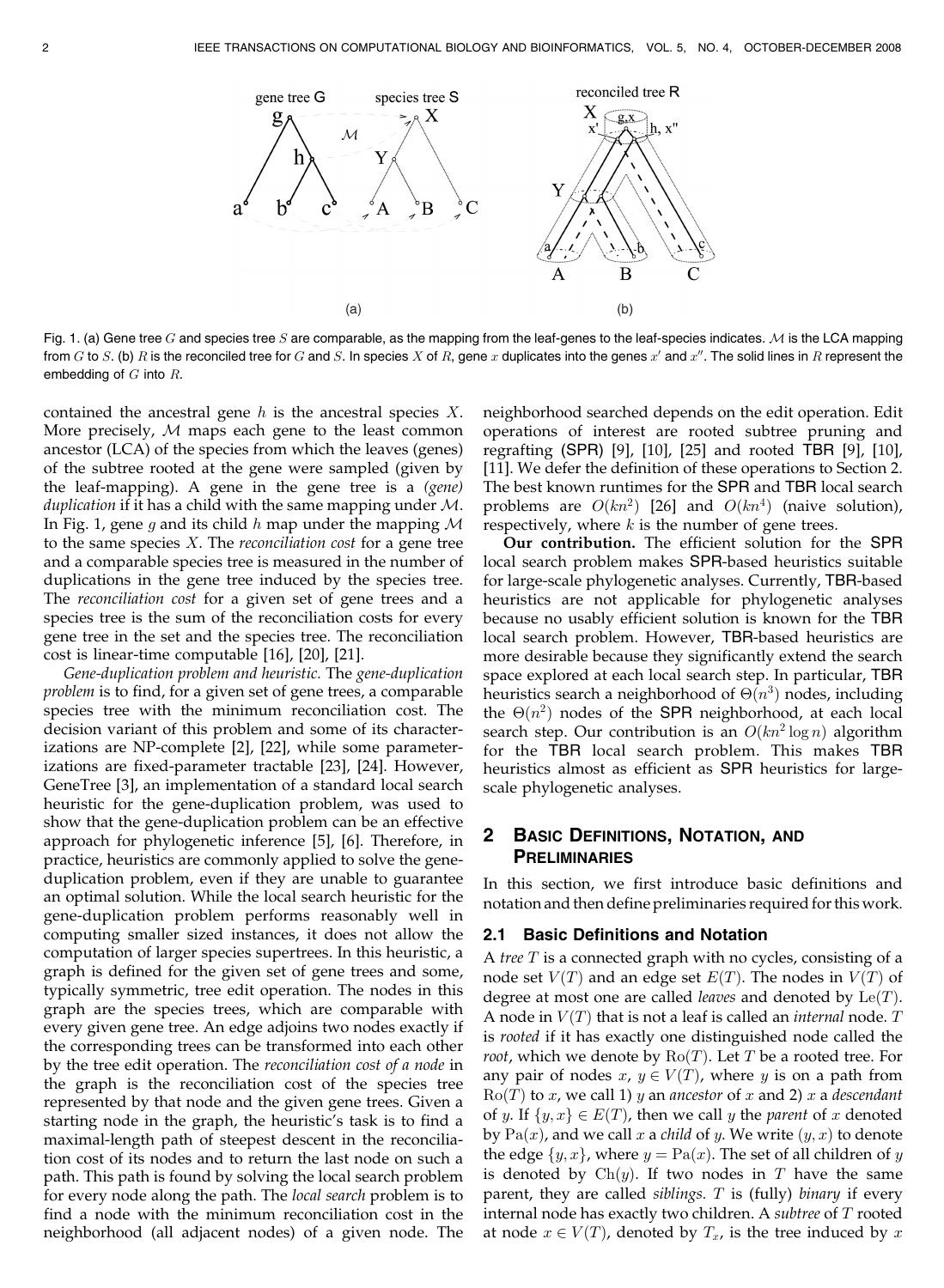

Fig. 1. (a) Gene tree G and species tree S are comparable, as the mapping from the leaf-genes to the leaf-species indicates. M is the LCA mapping from G to S, (b) R is the reconciled tree for G and S, In species X of R, gene x duplicates into the genes x' and x''. The solid lines in R represent the embedding of  $G$  into  $R$ .

contained the ancestral gene  $h$  is the ancestral species  $X$ . More precisely, M maps each gene to the least common ancestor (LCA) of the species from which the leaves (genes) of the subtree rooted at the gene were sampled (given by the leaf-mapping). A gene in the gene tree is a (gene) duplication if it has a child with the same mapping under  $M$ . In Fig. 1, gene g and its child h map under the mapping  $M$ to the same species  $X$ . The *reconciliation cost* for a gene tree and a comparable species tree is measured in the number of duplications in the gene tree induced by the species tree. The reconciliation cost for a given set of gene trees and a species tree is the sum of the reconciliation costs for every gene tree in the set and the species tree. The reconciliation cost is linear-time computable [16], [20], [21].

Gene-duplication problem and heuristic. The gene-duplication problem is to find, for a given set of gene trees, a comparable species tree with the minimum reconciliation cost. The decision variant of this problem and some of its characterizations are NP-complete [2], [22], while some parameterizations are fixed-parameter tractable [23], [24]. However, GeneTree [3], an implementation of a standard local search heuristic for the gene-duplication problem, was used to show that the gene-duplication problem can be an effective approach for phylogenetic inference [5], [6]. Therefore, in practice, heuristics are commonly applied to solve the geneduplication problem, even if they are unable to guarantee an optimal solution. While the local search heuristic for the gene-duplication problem performs reasonably well in computing smaller sized instances, it does not allow the computation of larger species supertrees. In this heuristic, a graph is defined for the given set of gene trees and some, typically symmetric, tree edit operation. The nodes in this graph are the species trees, which are comparable with every given gene tree. An edge adjoins two nodes exactly if the corresponding trees can be transformed into each other by the tree edit operation. The reconciliation cost of a node in the graph is the reconciliation cost of the species tree represented by that node and the given gene trees. Given a starting node in the graph, the heuristic's task is to find a maximal-length path of steepest descent in the reconciliation cost of its nodes and to return the last node on such a path. This path is found by solving the local search problem for every node along the path. The local search problem is to find a node with the minimum reconciliation cost in the neighborhood (all adjacent nodes) of a given node. The neighborhood searched depends on the edit operation. Edit operations of interest are rooted subtree pruning and regrafting (SPR) [9], [10], [25] and rooted TBR [9], [10], [11]. We defer the definition of these operations to Section 2. The best known runtimes for the SPR and TBR local search problems are  $O(kn^2)$  [26] and  $O(kn^4)$  (naive solution), respectively, where  $k$  is the number of gene trees.

Our contribution. The efficient solution for the SPR local search problem makes SPR-based heuristics suitable for large-scale phylogenetic analyses. Currently, TBR-based heuristics are not applicable for phylogenetic analyses because no usably efficient solution is known for the TBR local search problem. However, TBR-based heuristics are more desirable because they significantly extend the search space explored at each local search step. In particular, TBR heuristics search a neighborhood of  $\Theta(n^3)$  nodes, including the  $\Theta(n^2)$  nodes of the SPR neighborhood, at each local search step. Our contribution is an  $O(kn^2 \log n)$  algorithm for the TBR local search problem. This makes TBR heuristics almost as efficient as SPR heuristics for largescale phylogenetic analyses.

# 2 BASIC DEFINITIONS, NOTATION, AND **PRELIMINARIES**

In this section, we first introduce basic definitions and notation and then define preliminaries required for this work.

## 2.1 Basic Definitions and Notation

A tree  $T$  is a connected graph with no cycles, consisting of a node set  $V(T)$  and an edge set  $E(T)$ . The nodes in  $V(T)$  of degree at most one are called *leaves* and denoted by  $\text{Le}(T)$ . A node in  $V(T)$  that is not a leaf is called an *internal* node.  $T$ is rooted if it has exactly one distinguished node called the *root*, which we denote by  $Ro(T)$ . Let T be a rooted tree. For any pair of nodes x,  $y \in V(T)$ , where y is on a path from  $Ro(T)$  to x, we call 1) y an ancestor of x and 2) x a descendant of y. If  $\{y, x\} \in E(T)$ , then we call y the parent of x denoted by  $Pa(x)$ , and we call x a *child* of y. We write  $(y, x)$  to denote the edge  $\{y, x\}$ , where  $y = Pa(x)$ . The set of all children of y is denoted by  $\text{Ch}(y)$ . If two nodes in T have the same parent, they are called siblings.  $T$  is (fully) binary if every internal node has exactly two children. A subtree of  $T$  rooted at node  $x \in V(T)$ , denoted by  $T_x$ , is the tree induced by x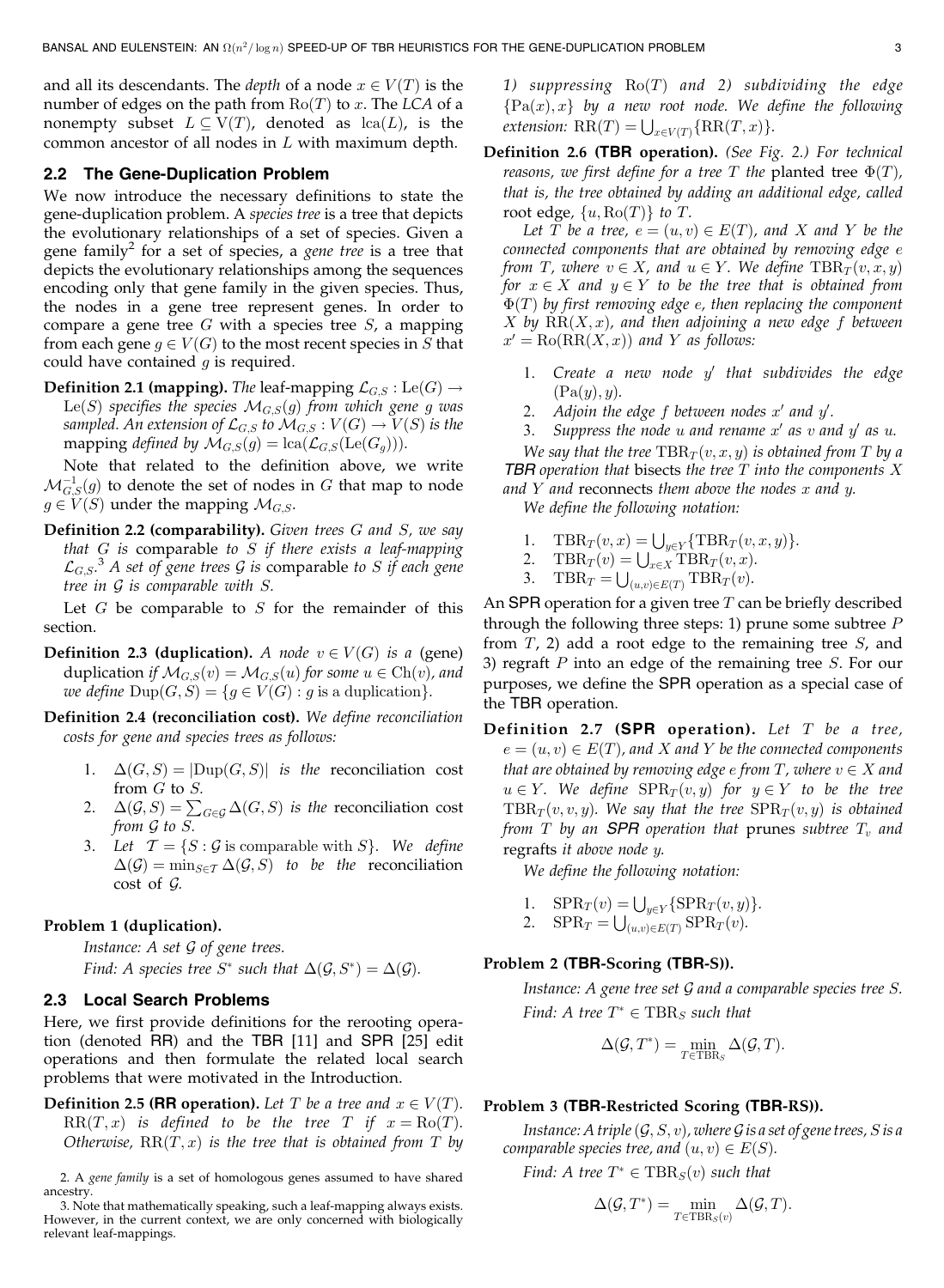and all its descendants. The *depth* of a node  $x \in V(T)$  is the number of edges on the path from  $Ro(T)$  to x. The LCA of a nonempty subset  $L \subseteq V(T)$ , denoted as  $lca(L)$ , is the common ancestor of all nodes in L with maximum depth.

#### 2.2 The Gene-Duplication Problem

We now introduce the necessary definitions to state the gene-duplication problem. A species tree is a tree that depicts the evolutionary relationships of a set of species. Given a gene family<sup>2</sup> for a set of species, a *gene tree* is a tree that depicts the evolutionary relationships among the sequences encoding only that gene family in the given species. Thus, the nodes in a gene tree represent genes. In order to compare a gene tree  $G$  with a species tree  $S$ , a mapping from each gene  $g \in V(G)$  to the most recent species in S that could have contained  $q$  is required.

**Definition 2.1 (mapping).** The leaf-mapping  $\mathcal{L}_{G,S}$  : Le(G)  $\rightarrow$ Le(S) specifies the species  $\mathcal{M}_{G,S}(g)$  from which gene g was sampled. An extension of  $\mathcal{L}_{G,S}$  to  $\mathcal{M}_{G,S}: V(G) \to V(S)$  is the mapping defined by  $\mathcal{M}_{G,S}(g) = \text{lca}(\mathcal{L}_{G,S}(\text{Le}(G_q))).$ 

Note that related to the definition above, we write  $\mathcal{M}_{G,S}^{-1}(g)$  to denote the set of nodes in  $G$  that map to node  $g \in V(S)$  under the mapping  $\mathcal{M}_{G,S}$ .

**Definition 2.2 (comparability).** Given trees  $G$  and  $S$ , we say that  $G$  is comparable to  $S$  if there exists a leaf-mapping  $\mathcal{L}_{G, S}$ .<sup>3</sup> A set of gene trees G is comparable to S if each gene tree in G is comparable with S.

Let  $G$  be comparable to  $S$  for the remainder of this section.

- **Definition 2.3 (duplication).** A node  $v \in V(G)$  is a (gene) duplication if  $\mathcal{M}_{G,S}(v) = \mathcal{M}_{G,S}(u)$  for some  $u \in \text{Ch}(v)$ , and we define  $\text{Dup}(G, S) = \{ g \in V(G) : g \text{ is a duplication} \}.$
- Definition 2.4 (reconciliation cost). We define reconciliation costs for gene and species trees as follows:
	- 1.  $\Delta(G, S) = |{\rm Dup}(G, S)|$  is the reconciliation cost from G to S.
	- 2.  $\Delta(\mathcal{G}, S) = \sum_{G \in \mathcal{G}} \Delta(G, S)$  is the reconciliation cost from G to S.
	- 3. Let  $\mathcal{T} = \{S : \mathcal{G} \text{ is comparable with } S\}$ . We define  $\Delta(\mathcal{G}) = \min_{S \in \mathcal{T}} \Delta(\mathcal{G}, S)$  to be the reconciliation cost of G.

#### Problem 1 (duplication).

Instance:  $A$  set  $G$  of gene trees.

Find: A species tree  $S^*$  such that  $\Delta(\mathcal{G}, S^*) = \Delta(\mathcal{G})$ .

## 2.3 Local Search Problems

Here, we first provide definitions for the rerooting operation (denoted RR) and the TBR [11] and SPR [25] edit operations and then formulate the related local search problems that were motivated in the Introduction.

**Definition 2.5 (RR operation).** Let T be a tree and  $x \in V(T)$ .  $RR(T, x)$  is defined to be the tree T if  $x = Ro(T)$ . Otherwise,  $RR(T, x)$  is the tree that is obtained from T by 1) suppressing  $Ro(T)$  and 2) subdividing the edge  ${Pa}(x), x}$  by a new root node. We define the following extension:  $\overline{\text{RR}}(T) = \bigcup_{x \in V(T)} \{\text{RR}(T,x)\}.$ 

Definition 2.6 (TBR operation). (See Fig. 2.) For technical reasons, we first define for a tree T the planted tree  $\Phi(T)$ , that is, the tree obtained by adding an additional edge, called root edge,  $\{u, \text{Ro}(T)\}\)$  to T.

Let T be a tree,  $e = (u, v) \in E(T)$ , and X and Y be the connected components that are obtained by removing edge e from T, where  $v \in X$ , and  $u \in Y$ . We define  $TBR_T(v, x, y)$ for  $x \in X$  and  $y \in Y$  to be the tree that is obtained from  $\Phi(T)$  by first removing edge e, then replacing the component  $X$  by  $RR(X, x)$ , and then adjoining a new edge f between  $x' = \text{Ro}(\text{RR}(X, x))$  and Y as follows:

- 1. Create a new node  $y'$  that subdivides the edge  $(Pa(y), y)$ .
- 2. Adjoin the edge  $f$  between nodes  $x'$  and  $y'$ .
- 3. Suppress the node u and rename  $x'$  as v and  $y'$  as u.

We say that the tree  $TBR_T(v, x, y)$  is obtained from T by a TBR operation that bisects the tree  $T$  into the components  $X$ and  $Y$  and reconnects them above the nodes  $x$  and  $y$ .

We define the following notation:

- 1.  $\text{TBR}_T(v, x) = \bigcup_{y \in Y} {\text{TBR}_T(v, x, y)}$ .
- 2. TBR<sub>T</sub> $(v) = \bigcup_{x \in X} \text{TBR}_T(v, x)$ .
- 3. TBR<sub>T</sub>  $\bigcup_{(u,v)\in E(T)} \text{TBR}_T(v)$ .

An SPR operation for a given tree  $T$  can be briefly described through the following three steps: 1) prune some subtree  $P$ from  $T$ , 2) add a root edge to the remaining tree  $S$ , and 3) regraft  $P$  into an edge of the remaining tree  $S$ . For our purposes, we define the SPR operation as a special case of the TBR operation.

Definition 2.7 (SPR operation). Let  $T$  be a tree,  $e = (u, v) \in E(T)$ , and X and Y be the connected components that are obtained by removing edge  $e$  from  $T$ , where  $v \in X$  and  $u \in Y$ . We define  $SPR_T(v, y)$  for  $y \in Y$  to be the tree  $TBR_T(v, v, y)$ . We say that the tree  $SPR_T(v, y)$  is obtained from T by an SPR operation that prunes subtree  $T_v$  and regrafts it above node y.

We define the following notation:

- 1.  $\text{SPR}_T(v) = \bigcup_{y \in Y} \{\text{SPR}_T(v, y)\}.$
- 2.  $SPR_T = \bigcup_{(u,v)\in E(T)} SPR_T(v)$ .

## Problem 2 (TBR-Scoring (TBR-S)).

Instance: A gene tree set G and a comparable species tree S. Find: A tree  $T^* \in \text{TBR}_S$  such that

$$
\Delta(\mathcal{G}, T^*) = \min_{T \in \text{TBR}_S} \Delta(\mathcal{G}, T).
$$

#### Problem 3 (TBR-Restricted Scoring (TBR-RS)).

Instance: A triple  $(\mathcal{G}, S, v)$ , where  $\mathcal G$  is a set of gene trees, S is a comparable species tree, and  $(u, v) \in E(S)$ .

Find: A tree  $T^* \in \text{TBR}_S(v)$  such that

$$
\Delta(\mathcal{G},T^*) = \min_{T \in \text{TBR}_S(v)} \Delta(\mathcal{G},T).
$$

<sup>2.</sup> A gene family is a set of homologous genes assumed to have shared ancestry.

<sup>3.</sup> Note that mathematically speaking, such a leaf-mapping always exists. However, in the current context, we are only concerned with biologically relevant leaf-mappings.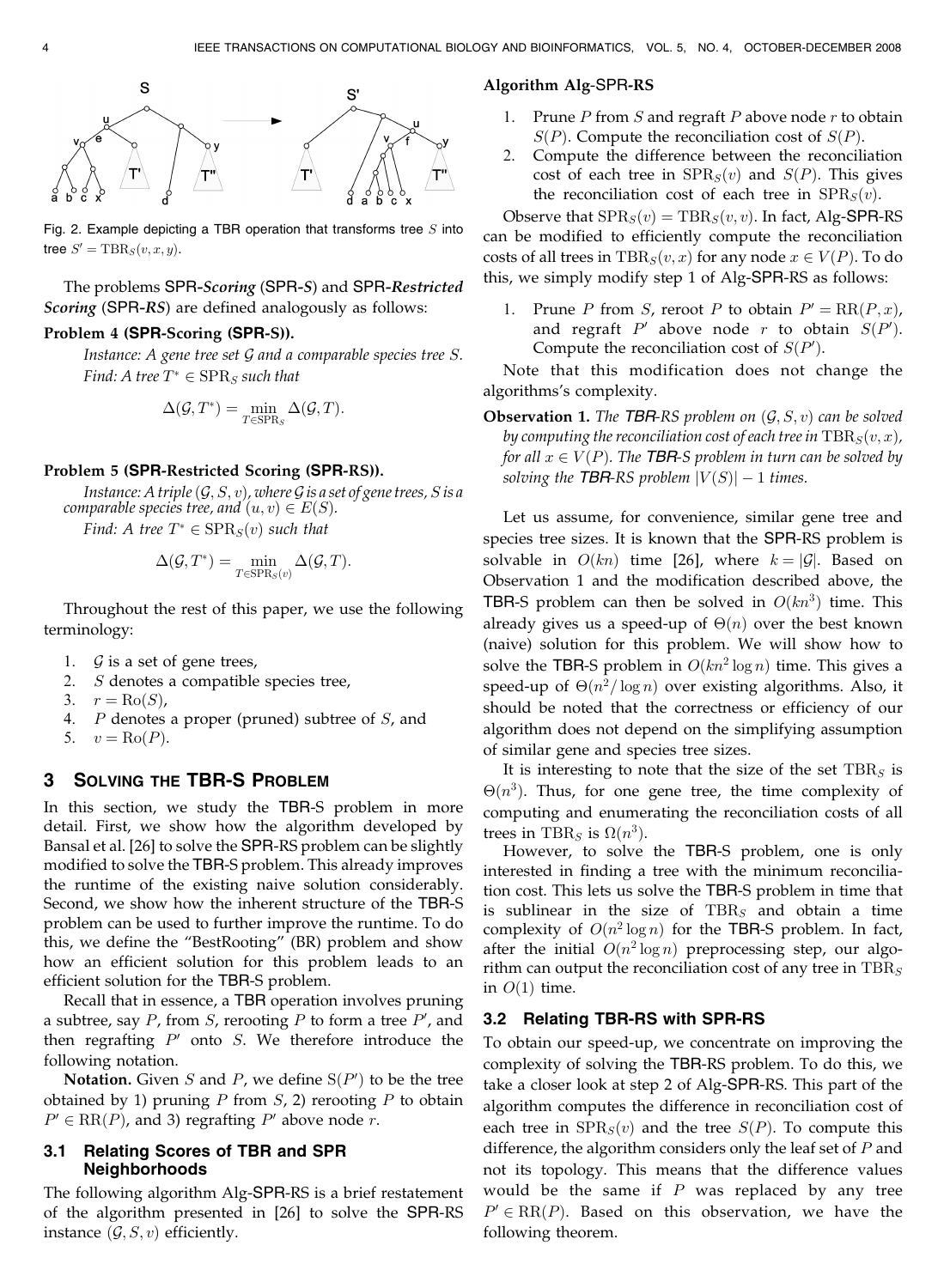

Fig. 2. Example depicting a TBR operation that transforms tree  $S$  into tree  $S' = \text{TBR}_S(v, x, y)$ .

The problems SPR-Scoring (SPR-S) and SPR-Restricted Scoring (SPR-RS) are defined analogously as follows:

# Problem 4 (SPR-Scoring (SPR-S)).

Instance: A gene tree set G and a comparable species tree S. Find: A tree  $T^* \in \text{SPR}_S$  such that

$$
\Delta(\mathcal{G},T^*) = \min_{T \in \text{SPR}_S} \Delta(\mathcal{G},T).
$$

#### Problem 5 (SPR-Restricted Scoring (SPR-RS)).

Instance: A triple  $(\mathcal{G}, S, v)$ , where  $\mathcal G$  is a set of gene trees, S is a comparable species tree, and  $(u, v) \in E(S)$ .

Find: A tree  $T^* \in \text{SPR}_S(v)$  such that

$$
\Delta(\mathcal{G},T^*) = \min_{T \in \text{SPR}_S(v)} \Delta(\mathcal{G},T).
$$

Throughout the rest of this paper, we use the following terminology:

- 1.  $\mathcal G$  is a set of gene trees,
- 2. S denotes a compatible species tree,
- 3.  $r = \text{Ro}(S)$ ,
- 4.  $P$  denotes a proper (pruned) subtree of  $S$ , and

$$
5. \quad v = \text{Ro}(P).
$$

# 3 SOLVING THE TBR-S PROBLEM

In this section, we study the TBR-S problem in more detail. First, we show how the algorithm developed by Bansal et al. [26] to solve the SPR-RS problem can be slightly modified to solve the TBR-S problem. This already improves the runtime of the existing naive solution considerably. Second, we show how the inherent structure of the TBR-S problem can be used to further improve the runtime. To do this, we define the "BestRooting" (BR) problem and show how an efficient solution for this problem leads to an efficient solution for the TBR-S problem.

Recall that in essence, a TBR operation involves pruning a subtree, say  $P$ , from  $S$ , rerooting  $P$  to form a tree  $P'$ , and then regrafting  $P'$  onto  $S$ . We therefore introduce the following notation.

**Notation.** Given S and P, we define  $S(P')$  to be the tree obtained by 1) pruning  $P$  from  $S$ , 2) rerooting  $P$  to obtain  $P' \in RR(P)$ , and 3) regrafting P' above node r.

## 3.1 Relating Scores of TBR and SPR Neighborhoods

The following algorithm Alg-SPR-RS is a brief restatement of the algorithm presented in [26] to solve the SPR-RS instance  $(G, S, v)$  efficiently.

## Algorithm Alg-SPR-RS

- Prune  $P$  from  $S$  and regraft  $P$  above node  $r$  to obtain  $S(P)$ . Compute the reconciliation cost of  $S(P)$ .
- 2. Compute the difference between the reconciliation cost of each tree in  $SPR<sub>S</sub>(v)$  and  $S(P)$ . This gives the reconciliation cost of each tree in  $SPR<sub>S</sub>(v)$ .

Observe that  $SPR_S(v) = TBR_S(v, v)$ . In fact, Alg-SPR-RS can be modified to efficiently compute the reconciliation costs of all trees in  $TBR<sub>S</sub>(v, x)$  for any node  $x \in V(P)$ . To do this, we simply modify step 1 of Alg-SPR-RS as follows:

1. Prune P from S, reroot P to obtain  $P' = RR(P, x)$ , and regraft  $P'$  above node  $r$  to obtain  $S(P').$ Compute the reconciliation cost of  $S(P')$ .

Note that this modification does not change the algorithms's complexity.

**Observation 1.** The TBR-RS problem on  $(\mathcal{G}, S, v)$  can be solved by computing the reconciliation cost of each tree in  $\text{TBR}_S(v, x)$ , for all  $x \in V(P)$ . The TBR-S problem in turn can be solved by solving the TBR-RS problem  $|V(S)| - 1$  times.

Let us assume, for convenience, similar gene tree and species tree sizes. It is known that the SPR-RS problem is solvable in  $O(kn)$  time [26], where  $k = |\mathcal{G}|$ . Based on Observation 1 and the modification described above, the TBR-S problem can then be solved in  $O(kn^3)$  time. This already gives us a speed-up of  $\Theta(n)$  over the best known (naive) solution for this problem. We will show how to solve the TBR-S problem in  $O(kn^2 \log n)$  time. This gives a speed-up of  $\Theta(n^2/\log n)$  over existing algorithms. Also, it should be noted that the correctness or efficiency of our algorithm does not depend on the simplifying assumption of similar gene and species tree sizes.

It is interesting to note that the size of the set  $TBR<sub>S</sub>$  is  $\Theta(n^3)$ . Thus, for one gene tree, the time complexity of computing and enumerating the reconciliation costs of all trees in TBR<sub>S</sub> is  $\Omega(n^3)$ .

However, to solve the TBR-S problem, one is only interested in finding a tree with the minimum reconciliation cost. This lets us solve the TBR-S problem in time that is sublinear in the size of  $TBR<sub>S</sub>$  and obtain a time complexity of  $O(n^2 \log n)$  for the TBR-S problem. In fact, after the initial  $O(n^2 \log n)$  preprocessing step, our algorithm can output the reconciliation cost of any tree in  $TBR<sub>S</sub>$ in  $O(1)$  time.

## 3.2 Relating TBR-RS with SPR-RS

To obtain our speed-up, we concentrate on improving the complexity of solving the TBR-RS problem. To do this, we take a closer look at step 2 of Alg-SPR-RS. This part of the algorithm computes the difference in reconciliation cost of each tree in  $SPR<sub>S</sub>(v)$  and the tree  $S(P)$ . To compute this difference, the algorithm considers only the leaf set of  $P$  and not its topology. This means that the difference values would be the same if  $P$  was replaced by any tree  $P' \in \text{RR}(P)$ . Based on this observation, we have the following theorem.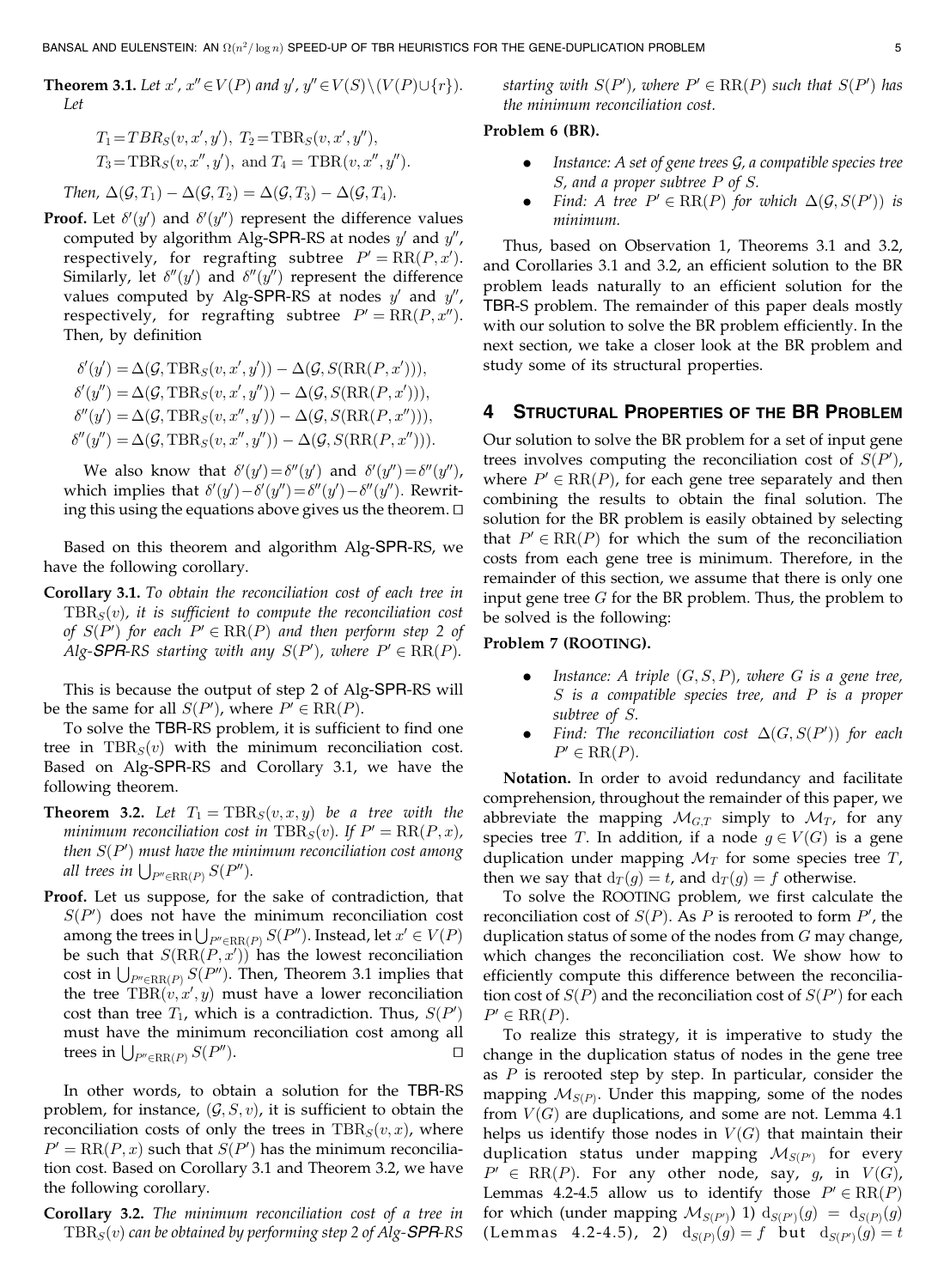**Theorem 3.1.** Let  $x'$ ,  $x'' \in V(P)$  and  $y'$ ,  $y'' \in V(S) \setminus (V(P) \cup \{r\})$ . Let

$$
T_1 = TBR_S(v, x', y'), T_2 = TBR_S(v, x', y''),
$$
  
\n $T_3 = TBR_S(v, x'', y'),$  and  $T_4 = TBR(v, x'', y'').$ 

Then,  $\Delta(\mathcal{G}, T_1) - \Delta(\mathcal{G}, T_2) = \Delta(\mathcal{G}, T_3) - \Delta(\mathcal{G}, T_4)$ .

**Proof.** Let  $\delta'(y')$  and  $\delta'(y'')$  represent the difference values computed by algorithm Alg-SPR-RS at nodes  $y'$  and  $y''$ , respectively, for regrafting subtree  $P' = RR(P, x').$ Similarly, let  $\delta''(y')$  and  $\delta''(y'')$  represent the difference values computed by Alg-SPR-RS at nodes  $y'$  and  $y''$ , respectively, for regrafting subtree  $P' = RR(P, x'')$ . Then, by definition

$$
\delta'(y') = \Delta(\mathcal{G}, \text{TBR}_S(v, x', y')) - \Delta(\mathcal{G}, S(\text{RR}(P, x'))),
$$
  
\n
$$
\delta'(y'') = \Delta(\mathcal{G}, \text{TBR}_S(v, x', y')) - \Delta(\mathcal{G}, S(\text{RR}(P, x'))),
$$
  
\n
$$
\delta''(y') = \Delta(\mathcal{G}, \text{TBR}_S(v, x'', y')) - \Delta(\mathcal{G}, S(\text{RR}(P, x''))),
$$
  
\n
$$
\delta''(y'') = \Delta(\mathcal{G}, \text{TBR}_S(v, x'', y'')) - \Delta(\mathcal{G}, S(\text{RR}(P, x''))).
$$

We also know that  $\delta'(y') = \delta''(y')$  and  $\delta'(y'') = \delta''(y'')$ , which implies that  $\delta'(y') - \delta'(y'') = \delta''(y') - \delta''(y'')$ . Rewriting this using the equations above gives us the theorem.  $\Box$ 

Based on this theorem and algorithm Alg-SPR-RS, we have the following corollary.

Corollary 3.1. To obtain the reconciliation cost of each tree in  $TBR<sub>S</sub>(v)$ , it is sufficient to compute the reconciliation cost of  $S(P')$  for each  $P' \in \operatorname{RR}(P)$  and then perform step 2 of Alg-**SPR**-RS starting with any  $S(P')$ , where  $P' \in RR(P)$ .

This is because the output of step 2 of Alg-SPR-RS will be the same for all  $S(P')$ , where  $P' \in RR(P)$ .

To solve the TBR-RS problem, it is sufficient to find one tree in  $TBR<sub>S</sub>(v)$  with the minimum reconciliation cost. Based on Alg-SPR-RS and Corollary 3.1, we have the following theorem.

- **Theorem 3.2.** Let  $T_1 = \text{TBR}_S(v, x, y)$  be a tree with the minimum reconciliation cost in  $TBR<sub>S</sub>(v)$ . If  $P' = RR(P, x)$ , then  $S(P')$  must have the minimum reconciliation cost among all trees in  $\bigcup_{P'' \in \text{RR}(P)} S(P'')$ .
- Proof. Let us suppose, for the sake of contradiction, that  $S(P')$  does not have the minimum reconciliation cost among the trees in  $\bigcup_{P'' \in \text{RR}(P)} S(P'')$ . Instead, let  $x' \in V(P)$ be such that  $S(\text{RR}(P, x'))$  has the lowest reconciliation  $\text{cost in } \bigcup_{P' \in \text{RR}(P)} S(P'')$ . Then, Theorem 3.1 implies that the tree  $TBR(v, x', y)$  must have a lower reconciliation cost than tree  $T_1$ , which is a contradiction. Thus,  $S(P')$ must have the minimum reconciliation cost among all trees in  $\bigcup_{P'' \in \text{RR}(P)} S(P'')$ .

In other words, to obtain a solution for the TBR-RS problem, for instance,  $(G, S, v)$ , it is sufficient to obtain the reconciliation costs of only the trees in  $TBR<sub>S</sub>(v, x)$ , where  $P' = RR(P, x)$  such that  $S(P')$  has the minimum reconciliation cost. Based on Corollary 3.1 and Theorem 3.2, we have the following corollary.

Corollary 3.2. The minimum reconciliation cost of a tree in  $TBR<sub>S</sub>(v)$  can be obtained by performing step 2 of Alg-SPR-RS

starting with  $S(P')$ , where  $P' \in \text{RR}(P)$  such that  $S(P')$  has the minimum reconciliation cost.

# Problem 6 (BR).

- Instance: A set of gene trees  $G$ , a compatible species tree S, and a proper subtree P of S.
- Find: A tree  $P' \in \text{RR}(P)$  for which  $\Delta(\mathcal{G}, S(P'))$  is minimum.

Thus, based on Observation 1, Theorems 3.1 and 3.2, and Corollaries 3.1 and 3.2, an efficient solution to the BR problem leads naturally to an efficient solution for the TBR-S problem. The remainder of this paper deals mostly with our solution to solve the BR problem efficiently. In the next section, we take a closer look at the BR problem and study some of its structural properties.

## STRUCTURAL PROPERTIES OF THE BR PROBLEM

Our solution to solve the BR problem for a set of input gene trees involves computing the reconciliation cost of  $S(P')$ , where  $P' \in \text{RR}(P)$ , for each gene tree separately and then combining the results to obtain the final solution. The solution for the BR problem is easily obtained by selecting that  $P' \in RR(P)$  for which the sum of the reconciliation costs from each gene tree is minimum. Therefore, in the remainder of this section, we assume that there is only one input gene tree  $G$  for the BR problem. Thus, the problem to be solved is the following:

# Problem 7 (ROOTING).

- Instance: A triple  $(G, S, P)$ , where G is a gene tree, S is a compatible species tree, and P is a proper subtree of S.
- Find: The reconciliation cost  $\Delta(G, S(P'))$  for each  $P' \in \operatorname{RR}(P)$ .

Notation. In order to avoid redundancy and facilitate comprehension, throughout the remainder of this paper, we abbreviate the mapping  $\mathcal{M}_{G,T}$  simply to  $\mathcal{M}_T$ , for any species tree T. In addition, if a node  $g \in V(G)$  is a gene duplication under mapping  $\mathcal{M}_T$  for some species tree  $T$ , then we say that  $d_T(g) = t$ , and  $d_T(g) = f$  otherwise.

To solve the ROOTING problem, we first calculate the reconciliation cost of  $S(P)$ . As P is rerooted to form  $P'$ , the duplication status of some of the nodes from  $G$  may change, which changes the reconciliation cost. We show how to efficiently compute this difference between the reconciliation cost of  $S(P)$  and the reconciliation cost of  $S(P')$  for each  $P' \in \operatorname{RR}(P)$ .

To realize this strategy, it is imperative to study the change in the duplication status of nodes in the gene tree as  $P$  is rerooted step by step. In particular, consider the mapping  $M_{S(P)}$ . Under this mapping, some of the nodes from  $V(G)$  are duplications, and some are not. Lemma 4.1 helps us identify those nodes in  $V(G)$  that maintain their duplication status under mapping  $\mathcal{M}_{S(P')}$  for every  $P' \in \text{RR}(P)$ . For any other node, say, g, in  $V(G)$ , Lemmas 4.2-4.5 allow us to identify those  $P' \in \text{RR}(P)$ for which (under mapping  $\mathcal{M}_{S(P')}$ ) 1)  $d_{S(P')}(g) = d_{S(P)}(g)$ (Lemmas 4.2-4.5), 2)  $\mathrm{d}_{S(P)}(g)=f$  but  $\mathrm{d}_{S(P')}(g)=t$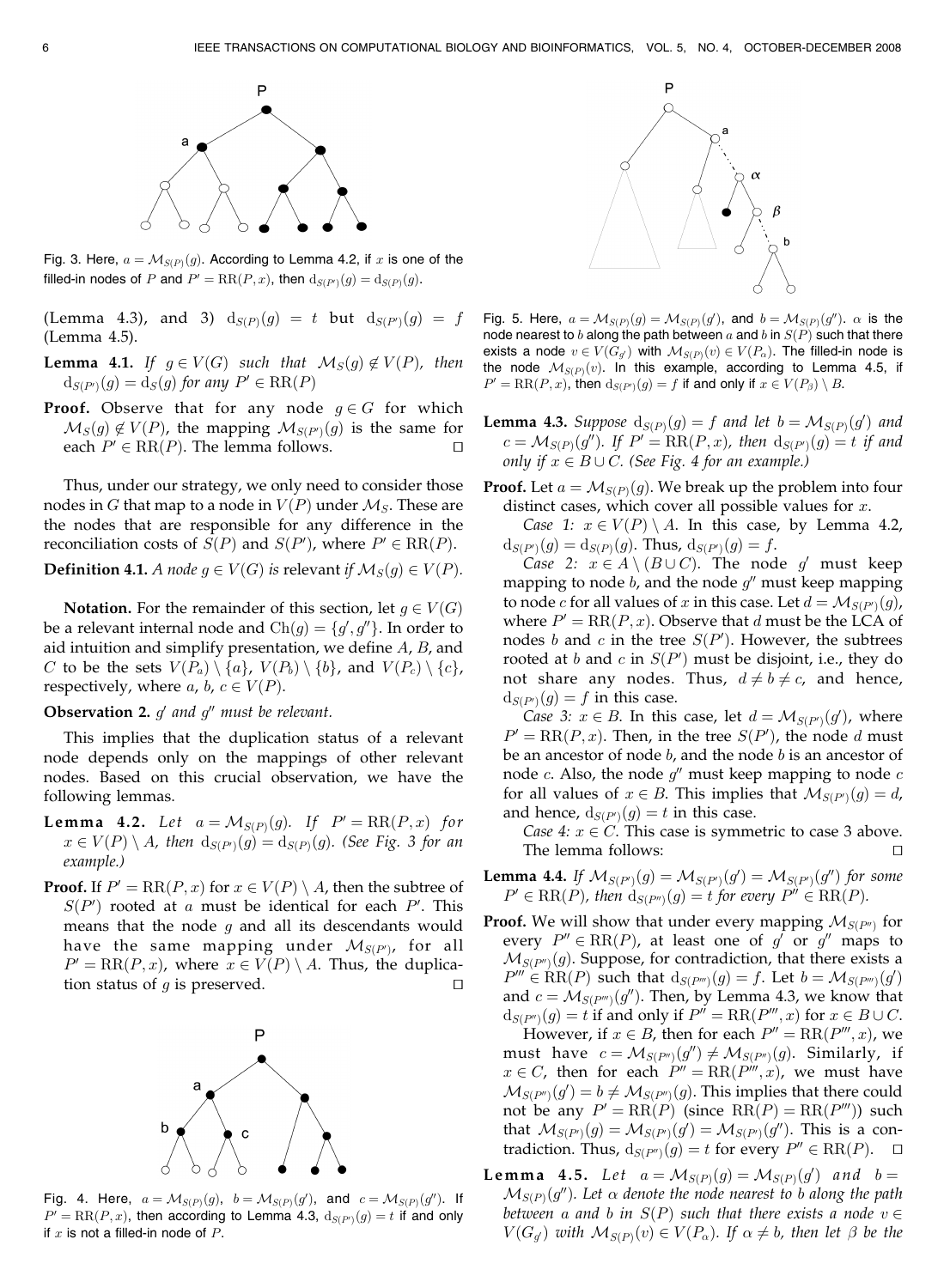

Fig. 3. Here,  $a = \mathcal{M}_{S(P)}(g)$ . According to Lemma 4.2, if x is one of the filled-in nodes of  $P$  and  $P' = \operatorname{RR}(P,x)$ , then  $\operatorname{d}_{S(P')}(g) = \operatorname{d}_{S(P)}(g).$ 

(Lemma 4.3), and 3)  $d_{S(P)}(g) = t$  but  $d_{S(P')}(g) = f$ (Lemma 4.5).

- **Lemma 4.1.** If  $g \in V(G)$  such that  $\mathcal{M}_S(g) \notin V(P)$ , then  $d_{S(P')}(g) = d_S(g)$  for any  $P' \in \text{RR}(P)$
- **Proof.** Observe that for any node  $g \in G$  for which  $\mathcal{M}_S(g)\not\in V(P)$ , the mapping  $\mathcal{M}_{S(P')}(g)$  is the same for each  $P' \in \text{RR}(P)$ . The lemma follows.  $\square$

Thus, under our strategy, we only need to consider those nodes in G that map to a node in  $V(P)$  under  $\mathcal{M}_S$ . These are the nodes that are responsible for any difference in the reconciliation costs of  $S(P)$  and  $S(P')$ , where  $P' \in RR(P)$ .

## **Definition 4.1.** A node  $g \in V(G)$  is relevant if  $\mathcal{M}_S(g) \in V(P)$ .

**Notation.** For the remainder of this section, let  $g \in V(G)$ be a relevant internal node and  $\text{Ch}(g) = \{g', g''\}$ . In order to aid intuition and simplify presentation, we define A, B, and C to be the sets  $V(P_a) \setminus \{a\}$ ,  $V(P_b) \setminus \{b\}$ , and  $V(P_c) \setminus \{c\}$ , respectively, where a, b,  $c \in V(P)$ .

#### **Observation 2.**  $q'$  and  $q''$  must be relevant.

This implies that the duplication status of a relevant node depends only on the mappings of other relevant nodes. Based on this crucial observation, we have the following lemmas.

- **Lemma 4.2.** Let  $a = \mathcal{M}_{S(P)}(g)$ . If  $P' = RR(P, x)$  for  $x \in V(P) \setminus A$ , then  $\textup{d}_{S(P')}(g) = \textup{d}_{S(P)}(g)$ . (See Fig. 3 for an example.)
- **Proof.** If  $P' = RR(P, x)$  for  $x \in V(P) \setminus A$ , then the subtree of  $S(P')$  rooted at a must be identical for each P'. This means that the node  $g$  and all its descendants would have the same mapping under  $\mathcal{M}_{S(P')}$ , for all  $P' = RR(P, x)$ , where  $x \in V(P) \setminus A$ . Thus, the duplication status of g is preserved.  $\square$



Fig. 4. Here,  $a = \mathcal{M}_{S(P)}(g)$ ,  $b = \mathcal{M}_{S(P)}(g')$ , and  $c = \mathcal{M}_{S(P)}(g'')$ . If  $P' = RR(P, x)$ , then according to Lemma 4.3,  $d_{S(P')}(g) = t$  if and only if  $x$  is not a filled-in node of  $P$ .



Fig. 5. Here,  $a = \mathcal{M}_{S(P)}(g) = \mathcal{M}_{S(P)}(g')$ , and  $b = \mathcal{M}_{S(P)}(g'')$ .  $\alpha$  is the node nearest to b along the path between a and b in  $S(P)$  such that there exists a node  $v \in V(G_{q'})$  with  $\mathcal{M}_{S(P)}(v) \in V(P_\alpha)$ . The filled-in node is the node  $\mathcal{M}_{S(P)}(v)$ . In this example, according to Lemma 4.5, if  $P' = \operatorname{RR}(P,x)$ , then  $\textup{d}_{S(P')}(g) = f$  if and only if  $x \in V(P_\beta) \setminus B$ .

**Lemma 4.3.** Suppose  $d_{S(P)}(g) = f$  and let  $b = \mathcal{M}_{S(P)}(g')$  and  $c = \mathcal{M}_{S(P)}(g'')$ . If  $P' = RR(P, x)$ , then  $d_{S(P')}(g) = t$  if and only if  $x \in B \cup C$ . (See Fig. 4 for an example.)

**Proof.** Let  $a = M_{S(P)}(g)$ . We break up the problem into four distinct cases, which cover all possible values for  $x$ .

Case 1:  $x \in V(P) \setminus A$ . In this case, by Lemma 4.2,  $\mathrm{d}_{S(P')}(g)=\mathrm{d}_{S(P)}(g).$  Thus,  $\mathrm{d}_{S(P')}(g)=f.$ 

Case 2:  $x \in A \setminus (B \cup C)$ . The node g must keep mapping to node  $b$ , and the node  $g''$  must keep mapping to node  $c$  for all values of  $x$  in this case. Let  $d = \mathcal{M}_{S(P') }(g)$ , where  $P' = RR(P, x)$ . Observe that d must be the LCA of nodes  $b$  and  $c$  in the tree  $S(P')$ . However, the subtrees rooted at b and c in  $S(P')$  must be disjoint, i.e., they do not share any nodes. Thus,  $d \neq b \neq c$ , and hence,  $d_{S(P')}(g) = f$  in this case.

Case 3:  $x \in B$ . In this case, let  $d = \mathcal{M}_{S(P')}(g')$ , where  $P' = RR(P, x)$ . Then, in the tree  $S(P')$ , the node d must be an ancestor of node  $b$ , and the node  $b$  is an ancestor of node  $c$ . Also, the node  $g''$  must keep mapping to node  $c$ for all values of  $x \in B$ . This implies that  $\mathcal{M}_{S(P')}(g) = d$ , and hence,  $\text{d}_{S(P')}(g)=t$  in this case.

Case 4:  $x \in C$ . This case is symmetric to case 3 above. The lemma follows:  $\Box$ 

- **Lemma 4.4.** If  $\mathcal{M}_{S(P')}(g) = \mathcal{M}_{S(P')}(g') = \mathcal{M}_{S(P')}(g'')$  for some  $P' \in \text{RR}(P)$ , then  $d_{S(P'')}(g) = t$  for every  $P'' \in \text{RR}(P)$ .
- **Proof.** We will show that under every mapping  $M_{S(P^n)}$  for every  $P'' \in \text{RR}(P)$ , at least one of g' or g'' maps to  $\mathcal{M}_{S(P'')}(g)$ . Suppose, for contradiction, that there exists a  $P''' \in \text{RR}(P)$  such that  $d_{S(P''')}(g) = f$ . Let  $b = \mathcal{M}_{S(P''')}(g')$ and  $c = \mathcal{M}_{S(P''')}(g'')$ . Then, by Lemma 4.3, we know that  $d_{S(P'')}(g) = t$  if and only if  $P'' = RR(P''', x)$  for  $x \in B \cup C$ .

However, if  $x \in B$ , then for each  $P'' = RR(P''', x)$ , we must have  $c = \mathcal{M}_{S(P'')}(g'') \neq \mathcal{M}_{S(P'')}(g)$ . Similarly, if  $x \in C$ , then for each  $P'' = RR(P''', x)$ , we must have  $\mathcal{M}_{S(P'')}(g') = b \neq \mathcal{M}_{S(P'')}(g)$ . This implies that there could not be any  $P' = RR(P)$  (since  $RR(P) = RR(P<sup>III</sup>)$ ) such that  $\mathcal{M}_{S(P')}(g) = \mathcal{M}_{S(P')}(g') = \mathcal{M}_{S(P')}(g'')$ . This is a contradiction. Thus,  $d_{S(P'')}(g) = t$  for every  $P'' \in RR(P)$ .  $\Box$ 

**Lemma 4.5.** Let  $a = \mathcal{M}_{S(P)}(g) = \mathcal{M}_{S(P)}(g)$  and  $b =$  $\mathcal{M}_{S(P)}(g'')$ . Let  $\alpha$  denote the node nearest to b along the path between a and b in  $S(P)$  such that there exists a node  $v \in$  $V(G_{q})$  with  $\mathcal{M}_{S(P)}(v) \in V(P_{\alpha})$ . If  $\alpha \neq b$ , then let  $\beta$  be the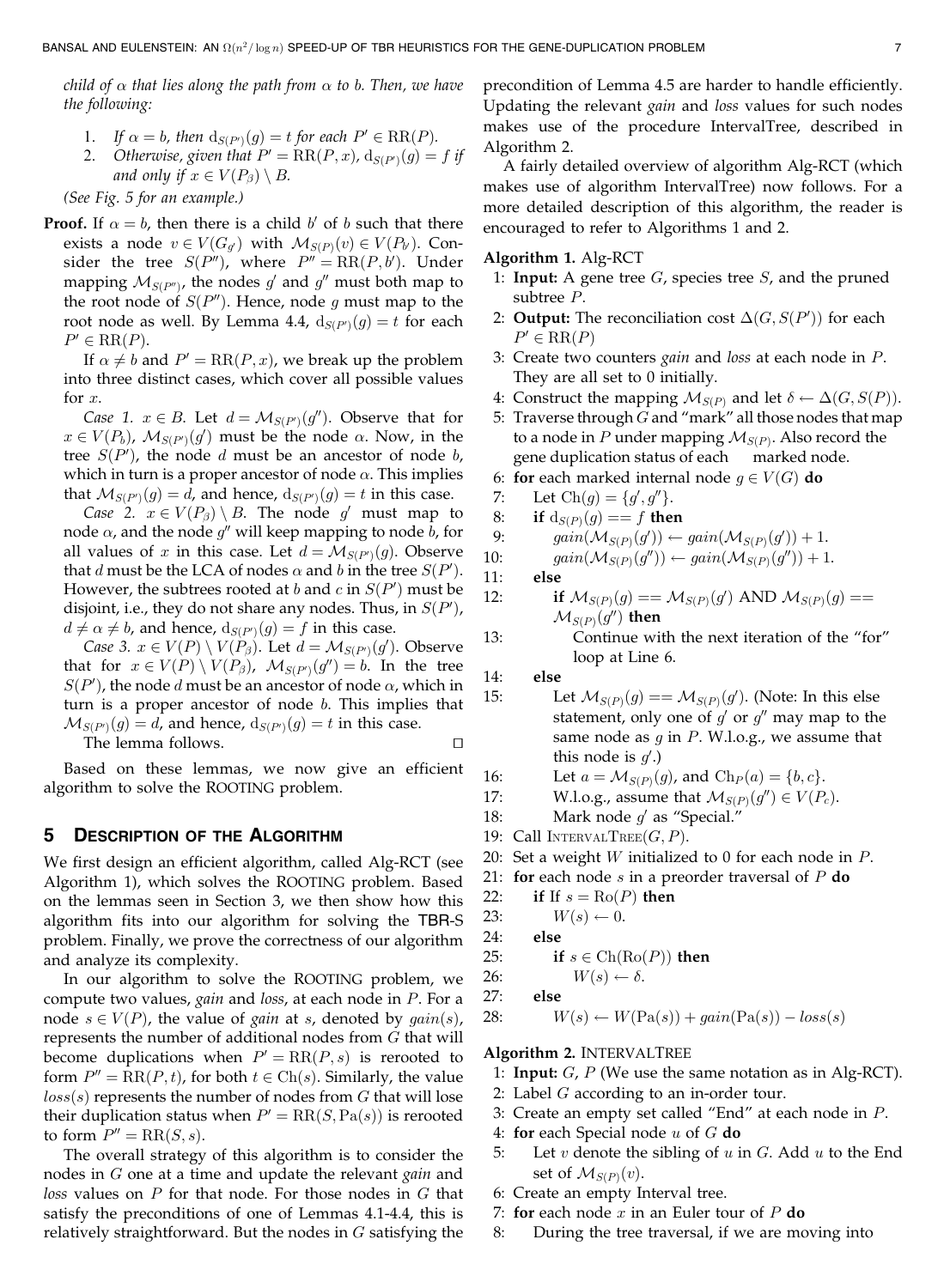child of  $\alpha$  that lies along the path from  $\alpha$  to b. Then, we have the following:

- 1. If  $\alpha = b$ , then  $d_{S(P')}(g) = t$  for each  $P' \in \text{RR}(P)$ .
- 2. Otherwise, given that  $P' = RR(P, x)$ ,  $d_{S(P')}(g) = f$  if and only if  $x \in V(P_\beta) \setminus B$ .

(See Fig. 5 for an example.)

**Proof.** If  $\alpha = b$ , then there is a child b of b such that there exists a node  $v \in V(G_g)$  with  $\mathcal{M}_{S(P)}(v) \in V(P_\theta)$ . Consider the tree  $S(P'')$ , where  $P'' = RR(P, b')$ . Under mapping  $M_{S(P'')}$ , the nodes g' and g'' must both map to the root node of  $S(P'')$ . Hence, node g must map to the root node as well. By Lemma 4.4,  $\mathrm{d}_{S(P')}(g)=t$  for each  $P' \in \operatorname{RR}(P)$ .

If  $\alpha \neq b$  and  $P' = RR(P, x)$ , we break up the problem into three distinct cases, which cover all possible values for x.

Case 1.  $x \in B$ . Let  $d = \mathcal{M}_{S(P')}(g'')$ . Observe that for  $x \in V(P_b)$ ,  $\mathcal{M}_{S(P')}(g')$  must be the node  $\alpha$ . Now, in the tree  $S(P')$ , the node d must be an ancestor of node b, which in turn is a proper ancestor of node  $\alpha$ . This implies that  $\mathcal{M}_{S(P')}(g) = d$ , and hence,  $\textup{d}_{S(P')}(g) = t$  in this case.

Case 2.  $x \in V(P_\beta) \setminus B$ . The node g must map to node  $\alpha$ , and the node  $g''$  will keep mapping to node  $b$ , for all values of  $x$  in this case. Let  $d = \mathcal{M}_{S(P') }(g).$  Observe that d must be the LCA of nodes  $\alpha$  and b in the tree  $S(P')$ . However, the subtrees rooted at b and  $c$  in  $S(P')$  must be disjoint, i.e., they do not share any nodes. Thus, in  $S(P')$ ,  $d \neq \alpha \neq b$ , and hence,  $d_{S(P')}(g) = f$  in this case.

Case 3.  $x \in V(P) \setminus V(P_\beta)$ . Let  $d = \mathcal{M}_{S(P')}(g')$ . Observe that for  $x \in V(P) \setminus V(P_\beta)$ ,  $\mathcal{M}_{S(P')}(g'') = b$ . In the tree  $S(P')$ , the node d must be an ancestor of node  $\alpha$ , which in turn is a proper ancestor of node b. This implies that  $\mathcal{M}_{S(P')}(g)=d$ , and hence,  $\text{d}_{S(P')}(g)=t$  in this case.

The lemma follows.  $\Box$ 

Based on these lemmas, we now give an efficient algorithm to solve the ROOTING problem.

# 5 DESCRIPTION OF THE ALGORITHM

We first design an efficient algorithm, called Alg-RCT (see Algorithm 1), which solves the ROOTING problem. Based on the lemmas seen in Section 3, we then show how this algorithm fits into our algorithm for solving the TBR-S problem. Finally, we prove the correctness of our algorithm and analyze its complexity.

In our algorithm to solve the ROOTING problem, we compute two values, gain and loss, at each node in P. For a node  $s \in V(P)$ , the value of gain at s, denoted by  $gain(s)$ , represents the number of additional nodes from G that will become duplications when  $P' = RR(P, s)$  is rerooted to form  $P'' = RR(P, t)$ , for both  $t \in Ch(s)$ . Similarly, the value  $loss(s)$  represents the number of nodes from  $G$  that will lose their duplication status when  $P' = RR(S, Pa(s))$  is rerooted to form  $P'' = RR(S, s)$ .

The overall strategy of this algorithm is to consider the nodes in G one at a time and update the relevant gain and loss values on  $P$  for that node. For those nodes in  $G$  that satisfy the preconditions of one of Lemmas 4.1-4.4, this is relatively straightforward. But the nodes in  $G$  satisfying the precondition of Lemma 4.5 are harder to handle efficiently. Updating the relevant gain and loss values for such nodes makes use of the procedure IntervalTree, described in Algorithm 2.

A fairly detailed overview of algorithm Alg-RCT (which makes use of algorithm IntervalTree) now follows. For a more detailed description of this algorithm, the reader is encouraged to refer to Algorithms 1 and 2.

## Algorithm 1. Alg-RCT

- 1: **Input:** A gene tree  $G$ , species tree  $S$ , and the pruned subtree P.
- 2: **Output:** The reconciliation cost  $\Delta(G, S(P'))$  for each  $P' \in \text{RR}(P)$
- 3: Create two counters gain and loss at each node in P. They are all set to 0 initially.
- 4: Construct the mapping  $\mathcal{M}_{S(P)}$  and let  $\delta \leftarrow \Delta(G, S(P)).$
- 5: Traverse through  $G$  and "mark" all those nodes that map to a node in  $P$  under mapping  $\mathcal{M}_{S(P)}$ . Also record the gene duplication status of each marked node.
- 6: for each marked internal node  $g \in V(G)$  do

7: Let 
$$
Ch(g) = \{g', g''\}.
$$

$$
8: \quad \text{if } d_{S(P)}(g) == f \text{ then}
$$

9: 
$$
gain(\mathcal{M}_{S(P)}(g')) \leftarrow gain(\mathcal{M}_{S(P)}(g')) + 1.
$$
  
\n10:  $gain(\mathcal{M}_{S(P)}(g')) \leftarrow gain(\mathcal{M}_{S(P)}(g')) + 1.$ 

10: 
$$
gain(\mathcal{M}_{S(P)}(g'')) \leftarrow gain(\mathcal{M}_{S(P)}(g'')) + 1.
$$

$$
11: \qquad \text{else}
$$

12: if  $\mathcal{M}_{S(P)}(g) = \mathcal{M}_{S(P)}(g)$  AND  $\mathcal{M}_{S(P)}(g) =$  $\mathcal{M}_{S(P)}(q'')$  then

13: Continue with the next iteration of the "for" loop at Line 6.

14: else

- 15: Let  $\mathcal{M}_{S(P)}(g) = \mathcal{M}_{S(P)}(g)$ . (Note: In this else statement, only one of  $g'$  or  $g''$  may map to the same node as  $g$  in  $P$ . W.l.o.g., we assume that this node is  $g'$ .)
- 16: Let  $a = \mathcal{M}_{S(P)}(g)$ , and  $\text{Ch}_P(a) = \{b, c\}.$
- 17: W.l.o.g., assume that  $\mathcal{M}_{S(P)}(g'') \in V(P_c)$ .
- 18: Mark node  $g'$  as "Special."
- 19: Call INTERVALTREE $(G, P)$ .
- 20: Set a weight  $W$  initialized to 0 for each node in  $P$ .
- 21: for each node  $s$  in a preorder traversal of  $P$  do
- 22: if If  $s = \text{Ro}(P)$  then
- 23:  $W(s) \leftarrow 0$ .

24: else

25: if 
$$
s \in \text{Ch}(\text{Ro}(P))
$$
 then

$$
26: \t W(s) \leftarrow \delta.
$$

27: else

28: 
$$
W(s) \leftarrow W(\text{Pa}(s)) + gain(\text{Pa}(s)) - loss(s)
$$

#### Algorithm 2. INTERVALTREE

- 1: **Input:**  $G$ ,  $P$  (We use the same notation as in Alg-RCT).
- 2: Label  $G$  according to an in-order tour.
- 3: Create an empty set called "End" at each node in P.
- 4: for each Special node  $u$  of  $G$  do
- 5: Let v denote the sibling of  $u$  in  $G$ . Add  $u$  to the End set of  $\mathcal{M}_{S(P)}(v)$ .
- 6: Create an empty Interval tree.
- 7: for each node  $x$  in an Euler tour of  $P$  do
- 8: During the tree traversal, if we are moving into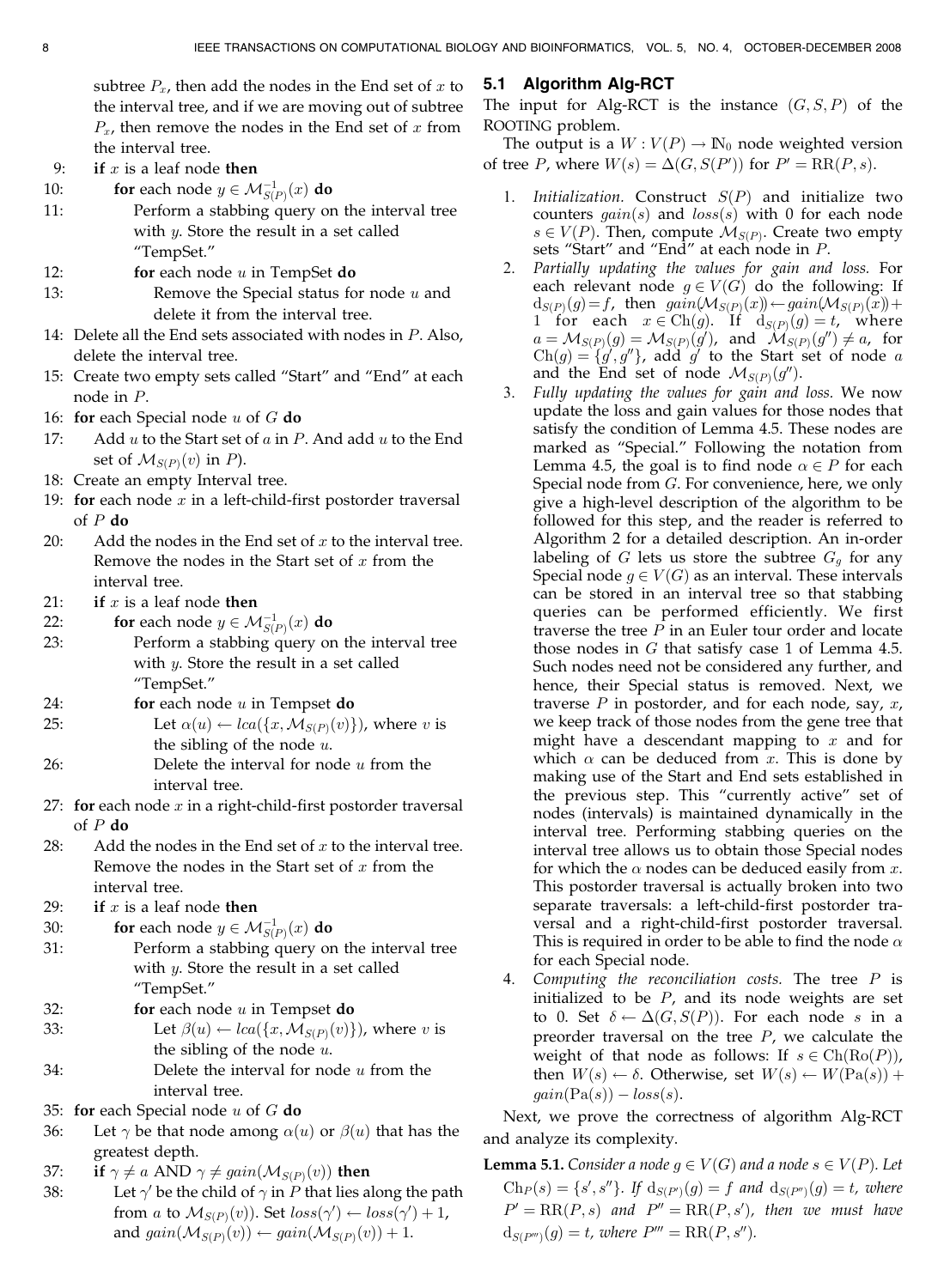subtree  $P_x$ , then add the nodes in the End set of x to the interval tree, and if we are moving out of subtree  $P<sub>x</sub>$ , then remove the nodes in the End set of x from the interval tree.

- 9: if  $x$  is a leaf node then
- 10: **for** each node  $y \in M_{S(P)}^{-1}(x)$  **do**
- 11: Perform a stabbing query on the interval tree with *y*. Store the result in a set called "TempSet."
- 12: **for each node u in TempSet do**
- 13: Remove the Special status for node  $u$  and delete it from the interval tree.
- 14: Delete all the End sets associated with nodes in P. Also, delete the interval tree.
- 15: Create two empty sets called "Start" and "End" at each node in P.
- 16: for each Special node  $u$  of  $G$  do
- 17: Add  $u$  to the Start set of  $a$  in  $P$ . And add  $u$  to the End set of  $\mathcal{M}_{S(P)}(v)$  in *P*).
- 18: Create an empty Interval tree.
- 19: for each node  $x$  in a left-child-first postorder traversal of  $P$  do
- 20: Add the nodes in the End set of  $x$  to the interval tree. Remove the nodes in the Start set of  $x$  from the interval tree.
- 21: if  $x$  is a leaf node then
- 22: **for** each node  $y \in \mathcal{M}_{S(P)}^{-1}(x)$  **do**
- 23: Perform a stabbing query on the interval tree with  $y$ . Store the result in a set called "TempSet."
- 24: **for** each node  $u$  in Tempset **do**
- 25: Let  $\alpha(u) \leftarrow \text{lca}(\{x, \mathcal{M}_{S(P)}(v)\})$ , where v is the sibling of the node  $u$ .
- 26: Delete the interval for node  $u$  from the interval tree.
- 27: for each node  $x$  in a right-child-first postorder traversal of  $P$  do
- 28: Add the nodes in the End set of  $x$  to the interval tree. Remove the nodes in the Start set of  $x$  from the interval tree.
- 29: if  $x$  is a leaf node then
- 30: **for** each node  $y \in \mathcal{M}_{S(P)}^{-1}(x)$  **do**
- 31: Perform a stabbing query on the interval tree with  $y$ . Store the result in a set called "TempSet."
- 32: **for each node u in Tempset do**
- 33: Let  $\beta(u) \leftarrow \text{lca}(\{x, \mathcal{M}_{S(P)}(v)\})$ , where v is the sibling of the node  $u$ . 34: Delete the interval for node  $u$  from the interval tree.
- 35: for each Special node  $u$  of  $G$  do
- 36: Let  $\gamma$  be that node among  $\alpha(u)$  or  $\beta(u)$  that has the greatest depth.
- 37: if  $\gamma \neq a$  AND  $\gamma \neq gain(\mathcal{M}_{S(P)}(v))$  then
- 38: Let  $\gamma'$  be the child of  $\gamma$  in P that lies along the path from a to  $\mathcal{M}_{S(P)}(v)$ ). Set  $loss(\gamma') \leftarrow loss(\gamma') + 1$ , and  $gain(\mathcal{M}_{S(P)}(v)) \leftarrow gain(\mathcal{M}_{S(P)}(v)) + 1.$

# 5.1 Algorithm Alg-RCT

The input for Alg-RCT is the instance  $(G, S, P)$  of the ROOTING problem.

The output is a  $W: V(P) \to \mathbb{N}_0$  node weighted version of tree *P*, where  $W(s) = \Delta(G, S(P'))$  for  $P' = RR(P, s)$ .

- 1. Initialization. Construct  $S(P)$  and initialize two counters  $qain(s)$  and  $loss(s)$  with 0 for each node  $s \in V(P)$ . Then, compute  $\mathcal{M}_{S(P)}$ . Create two empty sets "Start" and "End" at each node in P.
- 2. Partially updating the values for gain and loss. For each relevant node  $g \in V(G)$  do the following: If  $d_{S(P)}(g) = f$ , then  $gain(\mathcal{M}_{S(P)}(x)) \leftarrow gain(\mathcal{M}_{S(P)}(x)) +$ 1 for each  $x \in Ch(g)$ . If  $d_{S(P)}(g) = t$ , where  $a = \mathcal{M}_{S(P)}(g) = \mathcal{M}_{S(P)}(g')$ , and  $\mathcal{M}_{S(P)}(g'') \neq a$ , for  $Ch(g) = \{g', g''\}$ , add g' to the Start set of node a and the End set of node  $\mathcal{M}_{S(P)}(g'')$ .
- 3. Fully updating the values for gain and loss. We now update the loss and gain values for those nodes that satisfy the condition of Lemma 4.5. These nodes are marked as "Special." Following the notation from Lemma 4.5, the goal is to find node  $\alpha \in P$  for each Special node from G. For convenience, here, we only give a high-level description of the algorithm to be followed for this step, and the reader is referred to Algorithm 2 for a detailed description. An in-order labeling of G lets us store the subtree  $G_q$  for any Special node  $g \in V(G)$  as an interval. These intervals can be stored in an interval tree so that stabbing queries can be performed efficiently. We first traverse the tree  $P$  in an Euler tour order and locate those nodes in  $G$  that satisfy case 1 of Lemma 4.5. Such nodes need not be considered any further, and hence, their Special status is removed. Next, we traverse  $P$  in postorder, and for each node, say,  $x$ , we keep track of those nodes from the gene tree that might have a descendant mapping to  $x$  and for which  $\alpha$  can be deduced from x. This is done by making use of the Start and End sets established in the previous step. This "currently active" set of nodes (intervals) is maintained dynamically in the interval tree. Performing stabbing queries on the interval tree allows us to obtain those Special nodes for which the  $\alpha$  nodes can be deduced easily from x. This postorder traversal is actually broken into two separate traversals: a left-child-first postorder traversal and a right-child-first postorder traversal. This is required in order to be able to find the node  $\alpha$ for each Special node.
- 4. Computing the reconciliation costs. The tree  $P$  is initialized to be  $P$ , and its node weights are set to 0. Set  $\delta \leftarrow \Delta(G, S(P))$ . For each node s in a preorder traversal on the tree  $P$ , we calculate the weight of that node as follows: If  $s \in \text{Ch}(\text{Ro}(P))$ , then  $W(s) \leftarrow \delta$ . Otherwise, set  $W(s) \leftarrow W(\text{Pa}(s)) +$  $gain(Pa(s)) - loss(s).$

Next, we prove the correctness of algorithm Alg-RCT and analyze its complexity.

**Lemma 5.1.** Consider a node  $g \in V(G)$  and a node  $s \in V(P)$ . Let  $\text{Ch}_P(s) = \{s', s''\}.$  If  $\text{d}_{S(P')}(g) = f$  and  $\text{d}_{S(P'')}(g) = t$ , where  $P' = RR(P, s)$  and  $P'' = RR(P, s')$ , then we must have  $d_{S(P''')}(g) = t$ , where  $P''' = RR(P, s'')$ .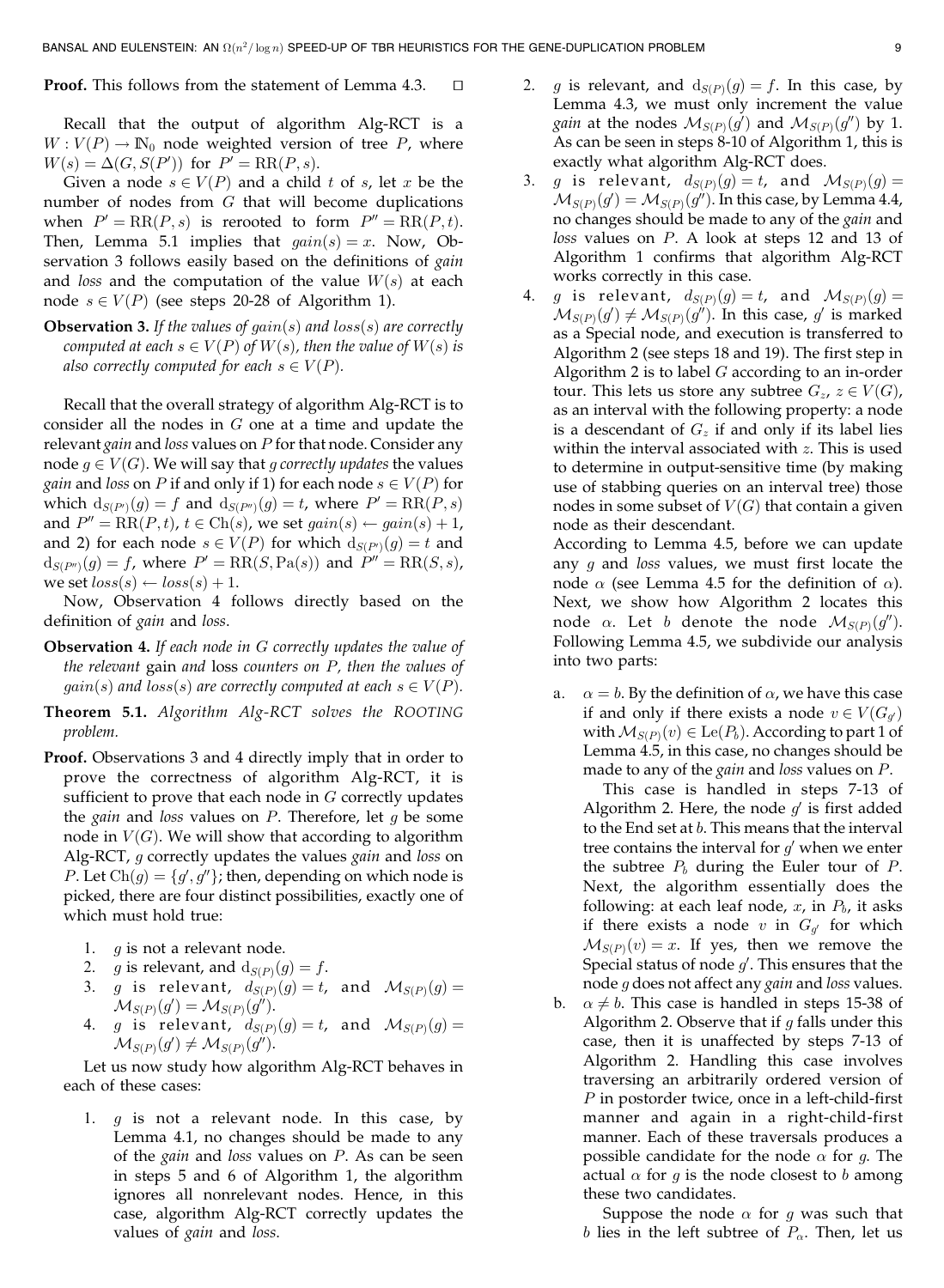**Proof.** This follows from the statement of Lemma  $4.3$ .  $\Box$ 

Recall that the output of algorithm Alg-RCT is a  $W: V(P) \to \mathbb{N}_0$  node weighted version of tree P, where  $W(s) = \Delta(G, S(P'))$  for  $P' = RR(P, s)$ .

Given a node  $s \in V(P)$  and a child t of s, let x be the number of nodes from  $G$  that will become duplications when  $P' = RR(P, s)$  is rerooted to form  $P'' = RR(P, t)$ . Then, Lemma 5.1 implies that  $gain(s) = x$ . Now, Observation 3 follows easily based on the definitions of *gain* and loss and the computation of the value  $W(s)$  at each node  $s \in V(P)$  (see steps 20-28 of Algorithm 1).

**Observation 3.** If the values of  $gain(s)$  and  $loss(s)$  are correctly computed at each  $s \in V(P)$  of  $W(s)$ , then the value of  $W(s)$  is also correctly computed for each  $s \in V(P)$ .

Recall that the overall strategy of algorithm Alg-RCT is to consider all the nodes in  $G$  one at a time and update the relevant gain and loss values on  $P$  for that node. Consider any node  $g \in V(G)$ . We will say that g correctly updates the values *gain* and *loss* on *P* if and only if 1) for each node  $s \in V(P)$  for which  $d_{S(P')}(g) = f$  and  $d_{S(P'')}(g) = t$ , where  $P' = RR(P, s)$ and  $P'' = RR(P, t)$ ,  $t \in Ch(s)$ , we set  $gain(s) \leftarrow gain(s) + 1$ , and 2) for each node  $s \in V(P)$  for which  $d_{S(P')}(g) = t$  and  $d_{S(P'')}(g) = f$ , where  $P' = RR(S, Pa(s))$  and  $P'' = RR(S, s)$ , we set  $loss(s) \leftarrow loss(s) + 1$ .

Now, Observation 4 follows directly based on the definition of *gain* and *loss*.

- Observation 4. If each node in G correctly updates the value of the relevant gain and loss counters on P, then the values of  $gain(s)$  and  $loss(s)$  are correctly computed at each  $s \in V(P)$ .
- Theorem 5.1. Algorithm Alg-RCT solves the ROOTING problem.
- Proof. Observations 3 and 4 directly imply that in order to prove the correctness of algorithm Alg-RCT, it is sufficient to prove that each node in  $G$  correctly updates the *gain* and *loss* values on  $P$ . Therefore, let  $g$  be some node in  $V(G)$ . We will show that according to algorithm Alg-RCT, g correctly updates the values gain and loss on *P*. Let  $Ch(g) = \{g', g''\}$ ; then, depending on which node is picked, there are four distinct possibilities, exactly one of which must hold true:
	- 1.  $q$  is not a relevant node.
	- 2. *g* is relevant, and  $d_{S(P)}(g) = f$ .
	- 3. g is relevant,  $d_{S(P)}(g) = t$ , and  $\mathcal{M}_{S(P)}(g) =$  $\mathcal{M}_{S(P)}(g')=\mathcal{M}_{S(P)}(g'').$
	- 4. g is relevant,  $d_{S(P)}(g) = t$ , and  $\mathcal{M}_{S(P)}(g) =$  $\mathcal{M}_{S(P)}(g') \neq \mathcal{M}_{S(P)}(g'').$

Let us now study how algorithm Alg-RCT behaves in each of these cases:

1.  $q$  is not a relevant node. In this case, by Lemma 4.1, no changes should be made to any of the *gain* and *loss* values on  $P$ . As can be seen in steps 5 and 6 of Algorithm 1, the algorithm ignores all nonrelevant nodes. Hence, in this case, algorithm Alg-RCT correctly updates the values of *gain* and *loss*.

- 2. *g* is relevant, and  $d_{S(P)}(q) = f$ . In this case, by Lemma 4.3, we must only increment the value *gain* at the nodes  $\mathcal{M}_{S(P)}(g')$  and  $\mathcal{M}_{S(P)}(g'')$  by 1. As can be seen in steps 8-10 of Algorithm 1, this is exactly what algorithm Alg-RCT does.
- 3. g is relevant,  $d_{S(P)}(g) = t$ , and  $\mathcal{M}_{S(P)}(g) =$  $\mathcal{M}_{S(P)}(g') = \mathcal{M}_{S(P)}(g'') .$  In this case, by Lemma 4.4, no changes should be made to any of the gain and loss values on P. A look at steps 12 and 13 of Algorithm 1 confirms that algorithm Alg-RCT works correctly in this case.
- 4. g is relevant,  $d_{S(P)}(g) = t$ , and  $\mathcal{M}_{S(P)}(g) =$  $\mathcal{M}_{S(P)}(g') \neq \mathcal{M}_{S(P)}(g'')$ . In this case,  $g'$  is marked as a Special node, and execution is transferred to Algorithm 2 (see steps 18 and 19). The first step in Algorithm 2 is to label  $G$  according to an in-order tour. This lets us store any subtree  $G_z$ ,  $z \in V(G)$ , as an interval with the following property: a node is a descendant of  $G<sub>z</sub>$  if and only if its label lies within the interval associated with  $z$ . This is used to determine in output-sensitive time (by making use of stabbing queries on an interval tree) those nodes in some subset of  $V(G)$  that contain a given node as their descendant.

According to Lemma 4.5, before we can update any  $g$  and loss values, we must first locate the node  $\alpha$  (see Lemma 4.5 for the definition of  $\alpha$ ). Next, we show how Algorithm 2 locates this node  $\alpha$ . Let b denote the node  $\mathcal{M}_{S(P)}(g'')$ . Following Lemma 4.5, we subdivide our analysis into two parts:

a.  $\alpha = b$ . By the definition of  $\alpha$ , we have this case if and only if there exists a node  $v \in V(G_q)$ with  $\mathcal{M}_{S(P)}(v) \in \text{Le}(P_b)$ . According to part 1 of Lemma 4.5, in this case, no changes should be made to any of the *gain* and *loss* values on  $P$ .

This case is handled in steps 7-13 of Algorithm 2. Here, the node  $q'$  is first added to the End set at b. This means that the interval tree contains the interval for  $g'$  when we enter the subtree  $P_b$  during the Euler tour of  $P$ . Next, the algorithm essentially does the following: at each leaf node,  $x$ , in  $P_b$ , it asks if there exists a node v in  $G_{q'}$  for which  $\mathcal{M}_{S(P)}(v) = x$ . If yes, then we remove the Special status of node  $g'$ . This ensures that the node g does not affect any gain and loss values.

b.  $\alpha \neq b$ . This case is handled in steps 15-38 of Algorithm 2. Observe that if  $g$  falls under this case, then it is unaffected by steps 7-13 of Algorithm 2. Handling this case involves traversing an arbitrarily ordered version of P in postorder twice, once in a left-child-first manner and again in a right-child-first manner. Each of these traversals produces a possible candidate for the node  $\alpha$  for g. The actual  $\alpha$  for g is the node closest to b among these two candidates.

Suppose the node  $\alpha$  for g was such that  $b$  lies in the left subtree of  $P_\alpha.$  Then, let us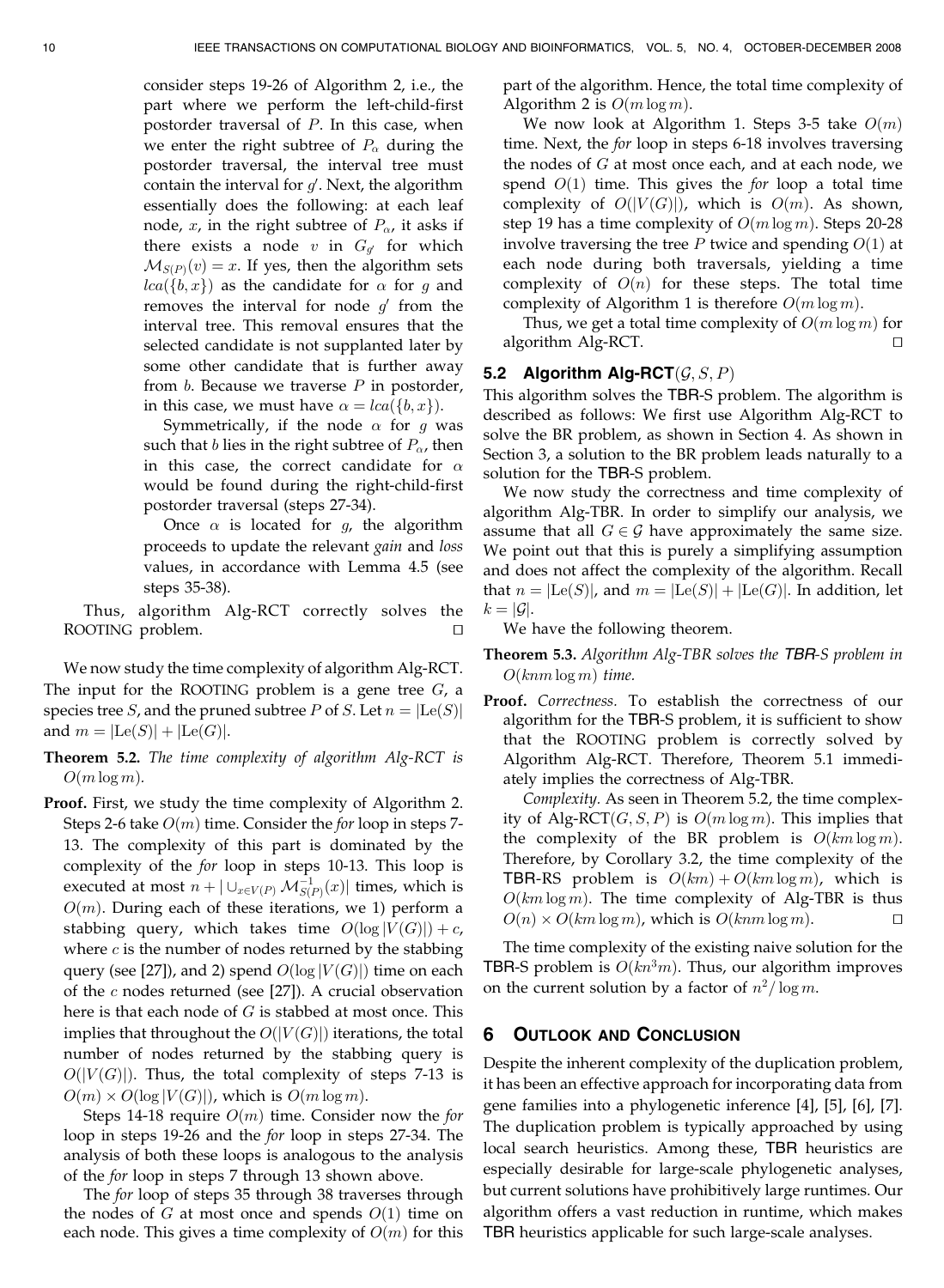consider steps 19-26 of Algorithm 2, i.e., the part where we perform the left-child-first postorder traversal of P. In this case, when we enter the right subtree of  $P_{\alpha}$  during the postorder traversal, the interval tree must contain the interval for  $g'$ . Next, the algorithm essentially does the following: at each leaf node, x, in the right subtree of  $P_{\alpha}$ , it asks if there exists a node v in  $G_{q'}$  for which  $\mathcal{M}_{S(P)}(v) = x$ . If yes, then the algorithm sets  $lca({b,x})$  as the candidate for  $\alpha$  for g and removes the interval for node  $q'$  from the interval tree. This removal ensures that the selected candidate is not supplanted later by some other candidate that is further away from  $b$ . Because we traverse  $P$  in postorder, in this case, we must have  $\alpha = \ln(\{b, x\})$ .

Symmetrically, if the node  $\alpha$  for g was such that b lies in the right subtree of  $P_{\alpha}$ , then in this case, the correct candidate for  $\alpha$ would be found during the right-child-first postorder traversal (steps 27-34).

Once  $\alpha$  is located for g, the algorithm proceeds to update the relevant gain and loss values, in accordance with Lemma 4.5 (see steps 35-38).

Thus, algorithm Alg-RCT correctly solves the ROOTING problem.  $\Box$ 

We now study the time complexity of algorithm Alg-RCT. The input for the ROOTING problem is a gene tree  $G$ , a species tree S, and the pruned subtree P of S. Let  $n = | \text{Le}(S) |$ and  $m = |{\rm Le}(S)| + |{\rm Le}(G)|$ .

- Theorem 5.2. The time complexity of algorithm Alg-RCT is  $O(m \log m)$ .
- Proof. First, we study the time complexity of Algorithm 2. Steps 2-6 take  $O(m)$  time. Consider the for loop in steps 7-13. The complexity of this part is dominated by the complexity of the for loop in steps 10-13. This loop is executed at most  $n + |\cup_{x \in V(P)} \mathcal{M}_{S(P)}^{-1}(x)|$  times, which is  $O(m)$ . During each of these iterations, we 1) perform a stabbing query, which takes time  $O(\log |V(G)|) + c$ , where  $c$  is the number of nodes returned by the stabbing query (see [27]), and 2) spend  $O(\log |V(G)|)$  time on each of the  $c$  nodes returned (see [27]). A crucial observation here is that each node of  $G$  is stabbed at most once. This implies that throughout the  $O(|V(G)|)$  iterations, the total number of nodes returned by the stabbing query is  $O(|V(G)|)$ . Thus, the total complexity of steps 7-13 is  $O(m) \times O(\log |V(G)|)$ , which is  $O(m \log m)$ .

Steps 14-18 require  $O(m)$  time. Consider now the for loop in steps 19-26 and the for loop in steps 27-34. The analysis of both these loops is analogous to the analysis of the for loop in steps 7 through 13 shown above.

The for loop of steps 35 through 38 traverses through the nodes of G at most once and spends  $O(1)$  time on each node. This gives a time complexity of  $O(m)$  for this part of the algorithm. Hence, the total time complexity of Algorithm 2 is  $O(m \log m)$ .

We now look at Algorithm 1. Steps 3-5 take  $O(m)$ time. Next, the for loop in steps 6-18 involves traversing the nodes of  $G$  at most once each, and at each node, we spend  $O(1)$  time. This gives the *for* loop a total time complexity of  $O(|V(G)|)$ , which is  $O(m)$ . As shown, step 19 has a time complexity of  $O(m \log m)$ . Steps 20-28 involve traversing the tree P twice and spending  $O(1)$  at each node during both traversals, yielding a time complexity of  $O(n)$  for these steps. The total time complexity of Algorithm 1 is therefore  $O(m \log m)$ .

Thus, we get a total time complexity of  $O(m \log m)$  for  $algorithms$  Alg-RCT.  $\Box$ 

# 5.2 Algorithm Alg-RCT $(G, S, P)$

This algorithm solves the TBR-S problem. The algorithm is described as follows: We first use Algorithm Alg-RCT to solve the BR problem, as shown in Section 4. As shown in Section 3, a solution to the BR problem leads naturally to a solution for the TBR-S problem.

We now study the correctness and time complexity of algorithm Alg-TBR. In order to simplify our analysis, we assume that all  $G \in \mathcal{G}$  have approximately the same size. We point out that this is purely a simplifying assumption and does not affect the complexity of the algorithm. Recall that  $n = | \text{Le}(S) |$ , and  $m = | \text{Le}(S) | + | \text{Le}(G) |$ . In addition, let  $k = |\mathcal{G}|$ .

We have the following theorem.

- Theorem 5.3. Algorithm Alg-TBR solves the TBR-S problem in  $O(knm \log m)$  time.
- Proof. Correctness. To establish the correctness of our algorithm for the TBR-S problem, it is sufficient to show that the ROOTING problem is correctly solved by Algorithm Alg-RCT. Therefore, Theorem 5.1 immediately implies the correctness of Alg-TBR.

Complexity. As seen in Theorem 5.2, the time complexity of Alg-RCT $(G, S, P)$  is  $O(m \log m)$ . This implies that the complexity of the BR problem is  $O(km \log m)$ . Therefore, by Corollary 3.2, the time complexity of the **TBR-RS** problem is  $O(km) + O(km \log m)$ , which is  $O(km \log m)$ . The time complexity of Alg-TBR is thus  $O(n) \times O(km \log m)$ , which is  $O(knm \log m)$ .

The time complexity of the existing naive solution for the TBR-S problem is  $O(kn^3m)$ . Thus, our algorithm improves on the current solution by a factor of  $n^2/\log m$ .

## 6 OUTLOOK AND CONCLUSION

Despite the inherent complexity of the duplication problem, it has been an effective approach for incorporating data from gene families into a phylogenetic inference [4], [5], [6], [7]. The duplication problem is typically approached by using local search heuristics. Among these, TBR heuristics are especially desirable for large-scale phylogenetic analyses, but current solutions have prohibitively large runtimes. Our algorithm offers a vast reduction in runtime, which makes TBR heuristics applicable for such large-scale analyses.